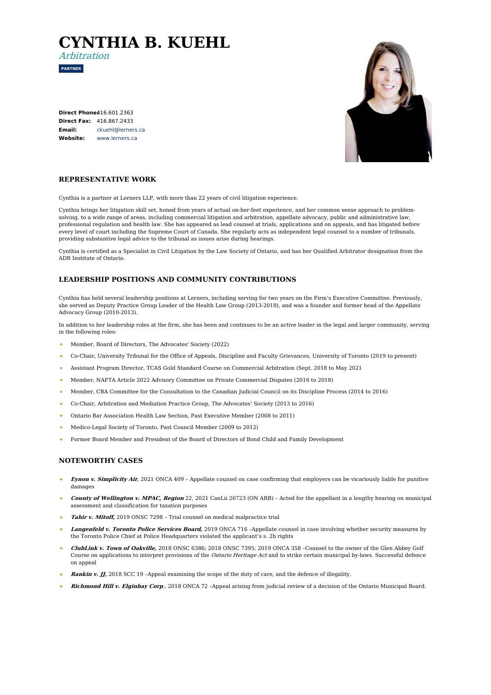# **CYNTHIA B. KUEHL**

**PARTNER**

Arbitration

**Direct Phone:** [416.601.2363](tel:416.601.2363) **Direct Fax:** 416.867.2433 **Email: Website:** [www.lerners.ca](https://www.lerners.ca/) [ckuehl@lerners.ca](mailto:ckuehl@lerners.ca)



## **REPRESENTATIVE WORK**

Cynthia is a partner at Lerners LLP, with more than 22 years of civil litigation experience.

Cynthia brings her litigation skill set, honed from years of actual on-her-feet experience, and her common sense approach to problemsolving, to a wide range of areas, including commercial litigation and arbitration, appellate advocacy, public and administrative law, professional regulation and health law. She has appeared as lead counsel at trials, applications and on appeals, and has litigated before every level of court including the Supreme Court of Canada. She regularly acts as independent legal counsel to a number of tribunals, providing substantive legal advice to the tribunal as issues arise during hearings.

Cynthia is certified as a Specialist in Civil Litigation by the Law Society of Ontario, and has her Qualified Arbitrator designation from the ADR Institute of Ontario.

## **LEADERSHIP POSITIONS AND COMMUNITY CONTRIBUTIONS**

Cynthia has held several leadership positions at Lerners, including serving for two years on the Firm's Executive Committee. Previously, she served as Deputy Practice Group Leader of the Health Law Group (2013-2018), and was a founder and former head of the Appellate Advocacy Group (2010-2013).

In addition to her leadership roles at the firm, she has been and continues to be an active leader in the legal and larger community, serving in the following roles:

- Member, Board of Directors, The Advocates' Society (2022)  $\Delta$
- Co-Chair, University Tribunal for the Office of Appeals, Discipline and Faculty Grievances, University of Toronto (2019 to present)
- Assistant Program Director, TCAS Gold Standard Course on Commercial Arbitration (Sept. 2018 to May 2021
- Member, NAFTA Article 2022 Advisory Committee on Private Commercial Disputes (2016 to 2018)
- Member, CBA Committee for the Consultation to the Canadian Judicial Council on its Discipline Process (2014 to 2016)
- Co-Chair, Arbitration and Mediation Practice Group, The Advocates' Society (2013 to 2016)
- Ontario Bar Association Health Law Section, Past Executive Member (2008 to 2011)
- $\bullet$  . Medico-Legal Society of Toronto, Past Council Member (2009 to 2012)
- Former Board Member and President of the Board of Directors of Bond Child and Family Development

### **NOTEWORTHY CASES**

- **Eynon v. Simplicity Air**, 2021 ONCA 409 Appellate counsel on case confirming that employers can be vicariously liable for punitive damages
- **County of Wellington v. MPAC, Region** 22, 2021 CanLii 26723 (ON ARB) Acted for the appellant in a lengthy hearing on municipal assessment and classification for taxation purposes
- **Tahir v. Mitoff,** 2019 ONSC 7298 Trial counsel on medical malpractice trial
- **Langenfeld v. Toronto Police Services Board,** 2019 ONCA 716 –Appellate counsel in case involving whether security measures by the Toronto Police Chief at Police Headquarters violated the applicant's s. 2b rights
- **ClubLink v. Town of Oakville,** 2018 ONSC 6386; 2018 ONSC 7395; 2019 ONCA 358 –Counsel to the owner of the Glen Abbey Golf Course on applications to interpret provisions of the Ontario Heritage Act and to strike certain municipal by-laws. Successful defence on appeal
- **Rankin v. JJ,** 2018 SCC 19 –Appeal examining the scope of the duty of care, and the defence of illegality.
- **Richmond Hill v. Elginbay Corp**., 2018 ONCA 72 –Appeal arising from judicial review of a decision of the Ontario Municipal Board.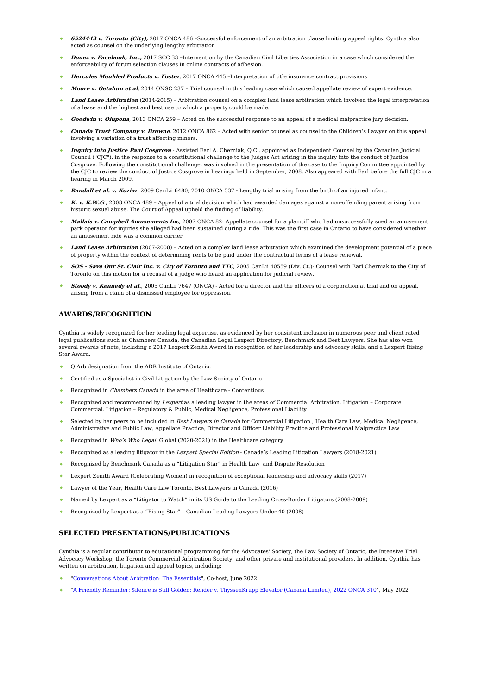- **6524443 v. Toronto (City),** 2017 ONCA 486 –Successful enforcement of an arbitration clause limiting appeal rights. Cynthia also acted as counsel on the underlying lengthy arbitration
- **Douez v. Facebook, Inc.,** 2017 SCC 33 –Intervention by the Canadian Civil Liberties Association in a case which considered the enforceability of forum selection clauses in online contracts of adhesion.
- **Hercules Moulded Products v. Foster**, 2017 ONCA 445 –Interpretation of title insurance contract provisions
- **Moore v. Getahun et al**, 2014 ONSC 237 Trial counsel in this leading case which caused appellate review of expert evidence.
- **Land Lease Arbitration** (2014-2015) Arbitration counsel on a complex land lease arbitration which involved the legal interpretation of a lease and the highest and best use to which a property could be made.
- **Goodwin v. Olupona**, 2013 ONCA 259 Acted on the successful response to an appeal of a medical malpractice jury decision.
- **Canada Trust Company v. Browne**, 2012 ONCA 862 Acted with senior counsel as counsel to the Children's Lawyer on this appeal involving a variation of a trust affecting minors.
- **Inquiry into Justice Paul Cosgrove** Assisted Earl A. Cherniak, Q.C., appointed as Independent Counsel by the Canadian Judicial Council ("CJC"), in the response to a constitutional challenge to the Judges Act arising in the inquiry into the conduct of Justice Cosgrove. Following the constitutional challenge, was involved in the presentation of the case to the Inquiry Committee appointed by the CJC to review the conduct of Justice Cosgrove in hearings held in September, 2008. Also appeared with Earl before the full CJC in a hearing in March 2009.
- **Randall et al. v. Koziar**, 2009 CanLii 6480; 2010 ONCA 537 Lengthy trial arising from the birth of an injured infant.
- **K. v. K.W.G**., 2008 ONCA 489 Appeal of a trial decision which had awarded damages against a non-offending parent arising from historic sexual abuse. The Court of Appeal upheld the finding of liability.
- **Mallais v. Campbell Amusements Inc**, 2007 ONCA 82: Appellate counsel for a plaintiff who had unsuccessfully sued an amusement park operator for injuries she alleged had been sustained during a ride. This was the first case in Ontario to have considered whether an amusement ride was a common carrier
- **Land Lease Arbitration** (2007-2008) Acted on a complex land lease arbitration which examined the development potential of a piece of property within the context of determining rents to be paid under the contractual terms of a lease renewal.
- **SOS - Save Our St. Clair Inc. v. City of Toronto and TTC**, 2005 CanLii 40559 (Div. Ct.)- Counsel with Earl Cherniak to the City of Toronto on this motion for a recusal of a judge who heard an application for judicial review.
- **Stoody v. Kennedy et al.**, 2005 CanLii 7647 (ONCA) Acted for a director and the officers of a corporation at trial and on appeal, arising from a claim of a dismissed employee for oppression.

#### **AWARDS/RECOGNITION**

Cynthia is widely recognized for her leading legal expertise, as evidenced by her consistent inclusion in numerous peer and client rated legal publications such as Chambers Canada, the Canadian Legal Lexpert Directory, Benchmark and Best Lawyers. She has also won several awards of note, including a 2017 Lexpert Zenith Award in recognition of her leadership and advocacy skills, and a Lexpert Rising Star Award.

- Q.Arb designation from the ADR Institute of Ontario.
- Certified as a Specialist in Civil Litigation by the Law Society of Ontario
- Recognized in Chambers Canada in the area of Healthcare Contentious
- Recognized and recommended by Lexpert as a leading lawyer in the areas of Commercial Arbitration, Litigation Corporate Commercial, Litigation – Regulatory & Public, Medical Negligence, Professional Liability
- Selected by her peers to be included in Best Lawyers in Canada for Commercial Litigation , Health Care Law, Medical Negligence, Administrative and Public Law, Appellate Practice, Director and Officer Liability Practice and Professional Malpractice Law
- Recognized in Who's Who Legal: Global (2020-2021) in the Healthcare category
- Recognized as a leading litigator in the Lexpert Special Edition Canada's Leading Litigation Lawyers (2018-2021)
- Recognized by Benchmark Canada as a "Litigation Star" in Health Law and Dispute Resolution  $\bullet$
- Lexpert Zenith Award (Celebrating Women) in recognition of exceptional leadership and advocacy skills (2017)
- $\Delta$ Lawyer of the Year, Health Care Law Toronto, Best Lawyers in Canada (2016)
- Named by Lexpert as a "Litigator to Watch" in its US Guide to the Leading Cross-Border Litigators (2008-2009)
- Recognized by Lexpert as a "Rising Star" Canadian Leading Lawyers Under 40 (2008)

#### **SELECTED PRESENTATIONS/PUBLICATIONS**

Cynthia is a regular contributor to educational programming for the Advocates' Society, the Law Society of Ontario, the Intensive Trial Advocacy Workshop, the Toronto Commercial Arbitration Society, and other private and institutional providers. In addition, Cynthia has written on arbitration, litigation and appeal topics, including:

- ["Conversations](https://www.youtube.com/playlist?app=desktop&list=PL_gAq7SnIoahvO5wjntP3jiQQY6xZPssz) About Arbitration: The Essentials", Co-host, June 2022
- "A Friendly Reminder: \$ilence is Still Golden: Render v. [ThyssenKrupp](https://www.lerners.ca/lernx/render-v-thyssenkrupp-elevator/) Elevator (Canada Limited), 2022 ONCA 310", May 2022